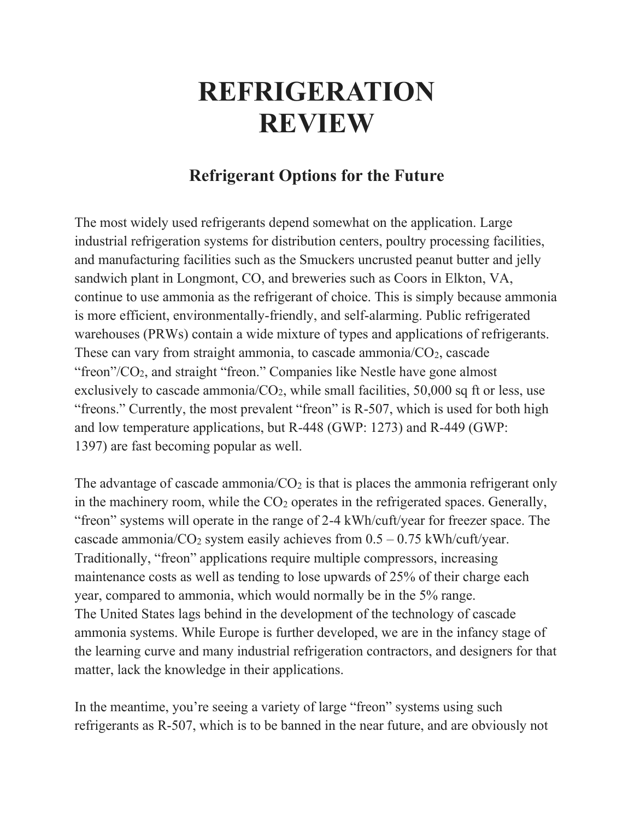## **REFRIGERATION REVIEW**

## **Refrigerant Options for the Future**

The most widely used refrigerants depend somewhat on the application. Large industrial refrigeration systems for distribution centers, poultry processing facilities, and manufacturing facilities such as the Smuckers uncrusted peanut butter and jelly sandwich plant in Longmont, CO, and breweries such as Coors in Elkton, VA, continue to use ammonia as the refrigerant of choice. This is simply because ammonia is more efficient, environmentally-friendly, and self-alarming. Public refrigerated warehouses (PRWs) contain a wide mixture of types and applications of refrigerants. These can vary from straight ammonia, to cascade ammonia/ $CO<sub>2</sub>$ , cascade "freon"/CO<sub>2</sub>, and straight "freon." Companies like Nestle have gone almost exclusively to cascade ammonia/ $CO<sub>2</sub>$ , while small facilities, 50,000 sq ft or less, use "freons." Currently, the most prevalent "freon" is R-507, which is used for both high and low temperature applications, but R-448 (GWP: 1273) and R-449 (GWP: 1397) are fast becoming popular as well.

The advantage of cascade ammonia/ $CO<sub>2</sub>$  is that is places the ammonia refrigerant only in the machinery room, while the  $CO<sub>2</sub>$  operates in the refrigerated spaces. Generally, "freon" systems will operate in the range of 2-4 kWh/cuft/year for freezer space. The cascade ammonia/ $CO_2$  system easily achieves from  $0.5 - 0.75$  kWh/cuft/year. Traditionally, "freon" applications require multiple compressors, increasing maintenance costs as well as tending to lose upwards of 25% of their charge each year, compared to ammonia, which would normally be in the 5% range. The United States lags behind in the development of the technology of cascade ammonia systems. While Europe is further developed, we are in the infancy stage of the learning curve and many industrial refrigeration contractors, and designers for that matter, lack the knowledge in their applications.

In the meantime, you're seeing a variety of large "freon" systems using such refrigerants as R-507, which is to be banned in the near future, and are obviously not